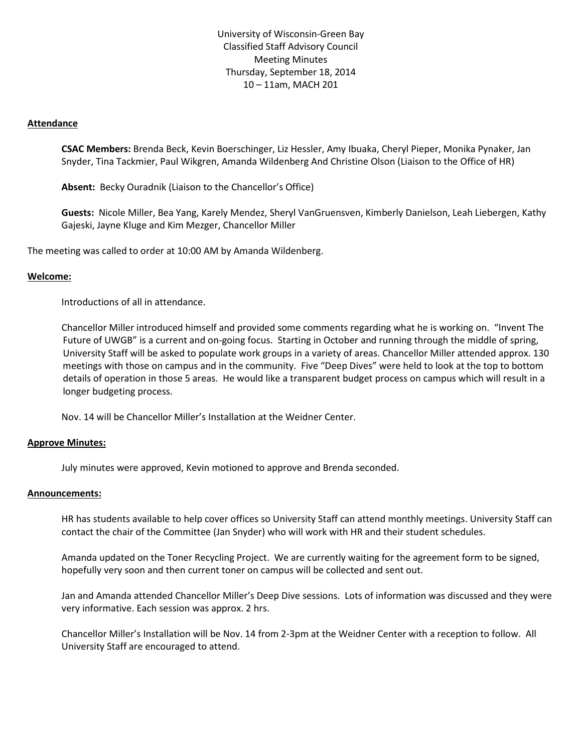University of Wisconsin-Green Bay Classified Staff Advisory Council Meeting Minutes Thursday, September 18, 2014 10 – 11am, MACH 201

### **Attendance**

**CSAC Members:** Brenda Beck, Kevin Boerschinger, Liz Hessler, Amy Ibuaka, Cheryl Pieper, Monika Pynaker, Jan Snyder, Tina Tackmier, Paul Wikgren, Amanda Wildenberg And Christine Olson (Liaison to the Office of HR)

**Absent:** Becky Ouradnik (Liaison to the Chancellor's Office)

**Guests:** Nicole Miller, Bea Yang, Karely Mendez, Sheryl VanGruensven, Kimberly Danielson, Leah Liebergen, Kathy Gajeski, Jayne Kluge and Kim Mezger, Chancellor Miller

The meeting was called to order at 10:00 AM by Amanda Wildenberg.

### **Welcome:**

Introductions of all in attendance.

Chancellor Miller introduced himself and provided some comments regarding what he is working on. "Invent The Future of UWGB" is a current and on-going focus. Starting in October and running through the middle of spring, University Staff will be asked to populate work groups in a variety of areas. Chancellor Miller attended approx. 130 meetings with those on campus and in the community. Five "Deep Dives" were held to look at the top to bottom details of operation in those 5 areas. He would like a transparent budget process on campus which will result in a longer budgeting process.

Nov. 14 will be Chancellor Miller's Installation at the Weidner Center.

#### **Approve Minutes:**

July minutes were approved, Kevin motioned to approve and Brenda seconded.

#### **Announcements:**

HR has students available to help cover offices so University Staff can attend monthly meetings. University Staff can contact the chair of the Committee (Jan Snyder) who will work with HR and their student schedules.

Amanda updated on the Toner Recycling Project. We are currently waiting for the agreement form to be signed, hopefully very soon and then current toner on campus will be collected and sent out.

Jan and Amanda attended Chancellor Miller's Deep Dive sessions. Lots of information was discussed and they were very informative. Each session was approx. 2 hrs.

Chancellor Miller's Installation will be Nov. 14 from 2-3pm at the Weidner Center with a reception to follow. All University Staff are encouraged to attend.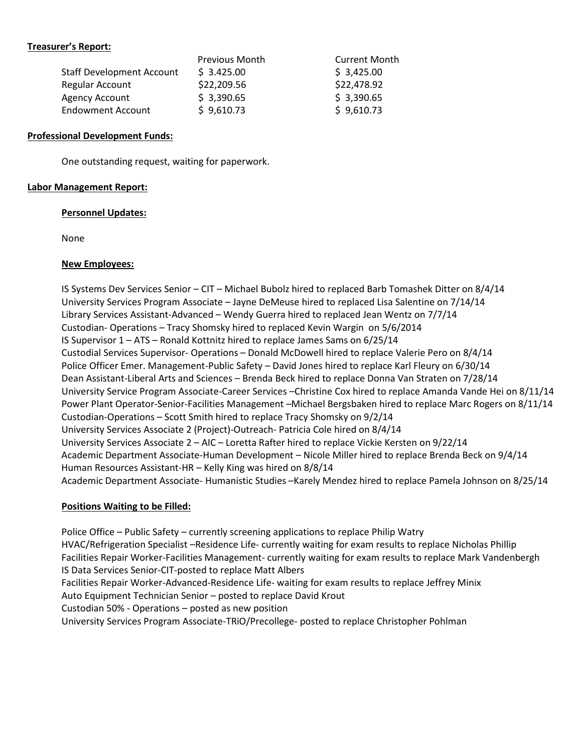# **Treasurer's Report:**

| <b>Previous Month</b> | <b>Current Month</b> |
|-----------------------|----------------------|
| \$3.425.00            | \$3,425.00           |
| \$22,209.56           | \$22,478.92          |
| \$3,390.65            | \$3,390.65           |
| \$9,610.73            | \$9,610.73           |
|                       |                      |

### **Professional Development Funds:**

One outstanding request, waiting for paperwork.

# **Labor Management Report:**

### **Personnel Updates:**

None

# **New Employees:**

IS Systems Dev Services Senior – CIT – Michael Bubolz hired to replaced Barb Tomashek Ditter on 8/4/14 University Services Program Associate – Jayne DeMeuse hired to replaced Lisa Salentine on 7/14/14 Library Services Assistant-Advanced – Wendy Guerra hired to replaced Jean Wentz on 7/7/14 Custodian- Operations – Tracy Shomsky hired to replaced Kevin Wargin on 5/6/2014 IS Supervisor 1 – ATS – Ronald Kottnitz hired to replace James Sams on 6/25/14 Custodial Services Supervisor- Operations – Donald McDowell hired to replace Valerie Pero on 8/4/14 Police Officer Emer. Management-Public Safety – David Jones hired to replace Karl Fleury on 6/30/14 Dean Assistant-Liberal Arts and Sciences – Brenda Beck hired to replace Donna Van Straten on 7/28/14 University Service Program Associate-Career Services –Christine Cox hired to replace Amanda Vande Hei on 8/11/14 Power Plant Operator-Senior-Facilities Management –Michael Bergsbaken hired to replace Marc Rogers on 8/11/14 Custodian-Operations – Scott Smith hired to replace Tracy Shomsky on 9/2/14 University Services Associate 2 (Project)-Outreach- Patricia Cole hired on 8/4/14 University Services Associate 2 – AIC – Loretta Rafter hired to replace Vickie Kersten on 9/22/14 Academic Department Associate-Human Development – Nicole Miller hired to replace Brenda Beck on 9/4/14 Human Resources Assistant-HR – Kelly King was hired on 8/8/14 Academic Department Associate- Humanistic Studies –Karely Mendez hired to replace Pamela Johnson on 8/25/14

# **Positions Waiting to be Filled:**

Police Office – Public Safety – currently screening applications to replace Philip Watry HVAC/Refrigeration Specialist –Residence Life- currently waiting for exam results to replace Nicholas Phillip Facilities Repair Worker-Facilities Management- currently waiting for exam results to replace Mark Vandenbergh IS Data Services Senior-CIT-posted to replace Matt Albers Facilities Repair Worker-Advanced-Residence Life- waiting for exam results to replace Jeffrey Minix Auto Equipment Technician Senior – posted to replace David Krout Custodian 50% - Operations – posted as new position University Services Program Associate-TRiO/Precollege- posted to replace Christopher Pohlman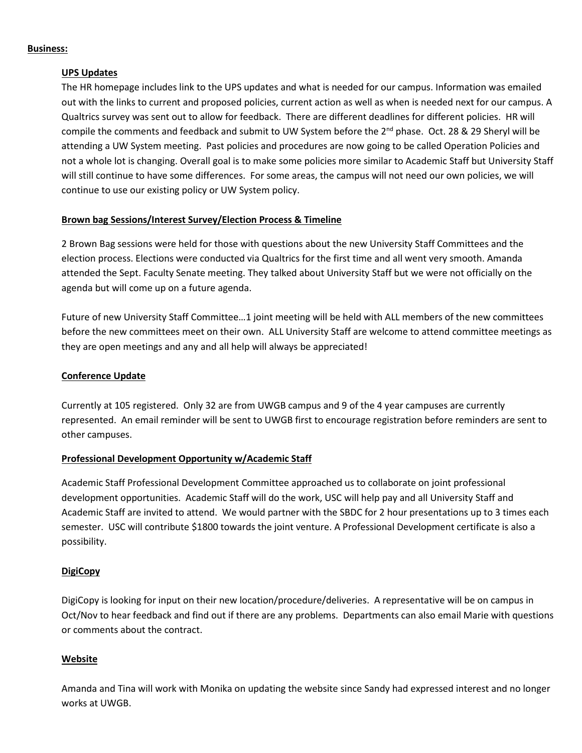#### **Business:**

# **UPS Updates**

The HR homepage includes link to the UPS updates and what is needed for our campus. Information was emailed out with the links to current and proposed policies, current action as well as when is needed next for our campus. A Qualtrics survey was sent out to allow for feedback. There are different deadlines for different policies. HR will compile the comments and feedback and submit to UW System before the 2<sup>nd</sup> phase. Oct. 28 & 29 Sheryl will be attending a UW System meeting. Past policies and procedures are now going to be called Operation Policies and not a whole lot is changing. Overall goal is to make some policies more similar to Academic Staff but University Staff will still continue to have some differences. For some areas, the campus will not need our own policies, we will continue to use our existing policy or UW System policy.

# **Brown bag Sessions/Interest Survey/Election Process & Timeline**

2 Brown Bag sessions were held for those with questions about the new University Staff Committees and the election process. Elections were conducted via Qualtrics for the first time and all went very smooth. Amanda attended the Sept. Faculty Senate meeting. They talked about University Staff but we were not officially on the agenda but will come up on a future agenda.

Future of new University Staff Committee…1 joint meeting will be held with ALL members of the new committees before the new committees meet on their own. ALL University Staff are welcome to attend committee meetings as they are open meetings and any and all help will always be appreciated!

### **Conference Update**

Currently at 105 registered. Only 32 are from UWGB campus and 9 of the 4 year campuses are currently represented. An email reminder will be sent to UWGB first to encourage registration before reminders are sent to other campuses.

# **Professional Development Opportunity w/Academic Staff**

Academic Staff Professional Development Committee approached us to collaborate on joint professional development opportunities. Academic Staff will do the work, USC will help pay and all University Staff and Academic Staff are invited to attend. We would partner with the SBDC for 2 hour presentations up to 3 times each semester. USC will contribute \$1800 towards the joint venture. A Professional Development certificate is also a possibility.

# **DigiCopy**

DigiCopy is looking for input on their new location/procedure/deliveries. A representative will be on campus in Oct/Nov to hear feedback and find out if there are any problems. Departments can also email Marie with questions or comments about the contract.

# **Website**

Amanda and Tina will work with Monika on updating the website since Sandy had expressed interest and no longer works at UWGB.